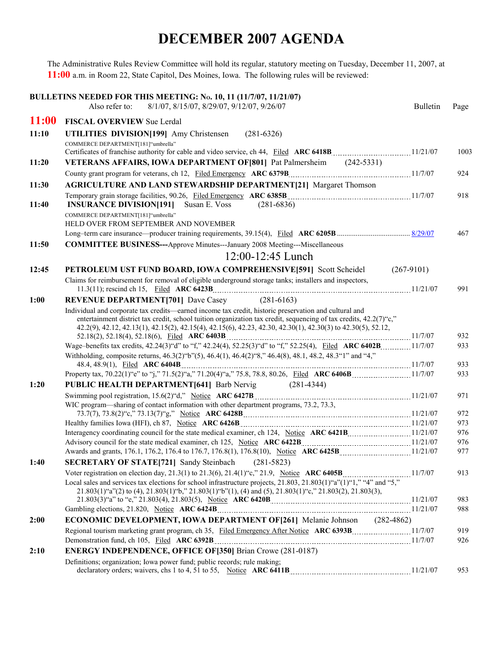## **DECEMBER 2007 AGENDA**

The Administrative Rules Review Committee will hold its regular, statutory meeting on Tuesday, December 11, 2007, at **11:00** a.m. in Room 22, State Capitol, Des Moines, Iowa. The following rules will be reviewed:

|              | BULLETINS NEEDED FOR THIS MEETING: No. 10, 11 (11/7/07, 11/21/07)<br>Also refer to:<br>8/1/07, 8/15/07, 8/29/07, 9/12/07, 9/26/07                                                                                                                                                                                                             | <b>Bulletin</b> | Page |
|--------------|-----------------------------------------------------------------------------------------------------------------------------------------------------------------------------------------------------------------------------------------------------------------------------------------------------------------------------------------------|-----------------|------|
| <b>11:00</b> | <b>FISCAL OVERVIEW Sue Lerdal</b>                                                                                                                                                                                                                                                                                                             |                 |      |
| 11:10        | UTILITIES DIVISION[199] Amy Christensen<br>$(281 - 6326)$                                                                                                                                                                                                                                                                                     |                 |      |
|              | COMMERCE DEPARTMENT[181]"umbrella"                                                                                                                                                                                                                                                                                                            |                 | 1003 |
| 11:20        | VETERANS AFFAIRS, IOWA DEPARTMENT OF [801] Pat Palmersheim (242-5331)                                                                                                                                                                                                                                                                         |                 |      |
|              |                                                                                                                                                                                                                                                                                                                                               |                 | 924  |
| 11:30        | <b>AGRICULTURE AND LAND STEWARDSHIP DEPARTMENT[21] Margaret Thomson</b>                                                                                                                                                                                                                                                                       |                 |      |
| 11:40        | <b>INSURANCE DIVISION[191]</b><br>Susan E. Voss<br>$(281 - 6836)$                                                                                                                                                                                                                                                                             |                 | 918  |
|              | COMMERCE DEPARTMENT[181]"umbrella"<br>HELD OVER FROM SEPTEMBER AND NOVEMBER                                                                                                                                                                                                                                                                   |                 |      |
|              |                                                                                                                                                                                                                                                                                                                                               |                 | 467  |
| 11:50        | <b>COMMITTEE BUSINESS---Approve Minutes---January 2008 Meeting---Miscellaneous</b>                                                                                                                                                                                                                                                            |                 |      |
|              | $12:00-12:45$ Lunch                                                                                                                                                                                                                                                                                                                           |                 |      |
| 12:45        | PETROLEUM UST FUND BOARD, IOWA COMPREHENSIVE[591] Scott Scheidel                                                                                                                                                                                                                                                                              | $(267-9101)$    |      |
|              | Claims for reimbursement for removal of eligible underground storage tanks; installers and inspectors,                                                                                                                                                                                                                                        |                 |      |
|              |                                                                                                                                                                                                                                                                                                                                               |                 | 991  |
| 1:00         | <b>REVENUE DEPARTMENT[701]</b> Dave Casey (281-6163)                                                                                                                                                                                                                                                                                          |                 |      |
|              | Individual and corporate tax credits—earned income tax credit, historic preservation and cultural and<br>entertainment district tax credit, school tuition organization tax credit, sequencing of tax credits, $42.2(7)$ "c,"<br>42.2(9), 42.12, 42.13(1), 42.15(2), 42.15(4), 42.15(6), 42.23, 42.30, 42.30(1), 42.30(3) to 42.30(5), 52.12, |                 | 932  |
|              | Wage-benefits tax credits, 42.24(3) "d" to "f," 42.24(4), 52.25(3) "d" to "f," 52.25(4), Filed ARC 6402B 11/7/07                                                                                                                                                                                                                              |                 | 933  |
|              | Withholding, composite returns, 46.3(2) "b"(5), 46.4(1), 46.4(2) "8," 46.4(8), 48.1, 48.2, 48.3"1" and "4,"                                                                                                                                                                                                                                   |                 |      |
|              |                                                                                                                                                                                                                                                                                                                                               |                 | 933  |
|              |                                                                                                                                                                                                                                                                                                                                               |                 | 933  |
| 1:20         | <b>PUBLIC HEALTH DEPARTMENT [641]</b> Barb Nervig (281-4344)                                                                                                                                                                                                                                                                                  |                 |      |
|              | WIC program—sharing of contact information with other department programs, 73.2, 73.3,                                                                                                                                                                                                                                                        |                 | 971  |
|              |                                                                                                                                                                                                                                                                                                                                               |                 | 972  |
|              |                                                                                                                                                                                                                                                                                                                                               |                 | 973  |
|              |                                                                                                                                                                                                                                                                                                                                               |                 | 976  |
|              |                                                                                                                                                                                                                                                                                                                                               |                 | 976  |
|              |                                                                                                                                                                                                                                                                                                                                               |                 | 977  |
| 1:40         | <b>SECRETARY OF STATE[721] Sandy Steinbach</b><br>$(281 - 5823)$                                                                                                                                                                                                                                                                              |                 |      |
|              |                                                                                                                                                                                                                                                                                                                                               |                 | 913  |
|              | Local sales and services tax elections for school infrastructure projects, $21.803$ , $21.803(1)$ "a" $(1)$ "1," "4" and "5,"<br>$21.803(1)$ "a"(2) to (4), $21.803(1)$ "b", $21.803(1)$ "b"(1), (4) and (5), $21.803(1)$ "c," $21.803(2)$ , $21.803(3)$ ,<br>21.803(3)"a" to "e," 21.803(4), 21.803(5), Notice ARC 6420B<br>11/21/07         |                 | 983  |
|              |                                                                                                                                                                                                                                                                                                                                               |                 | 988  |
| 2:00         | ECONOMIC DEVELOPMENT, IOWA DEPARTMENT OF [261] Melanie Johnson (282-4862)                                                                                                                                                                                                                                                                     |                 |      |
|              |                                                                                                                                                                                                                                                                                                                                               |                 | 919  |
|              |                                                                                                                                                                                                                                                                                                                                               |                 | 926  |
| 2:10         | <b>ENERGY INDEPENDENCE, OFFICE OF [350]</b> Brian Crowe (281-0187)                                                                                                                                                                                                                                                                            |                 |      |
|              | Definitions; organization; Iowa power fund; public records; rule making;                                                                                                                                                                                                                                                                      |                 | 953  |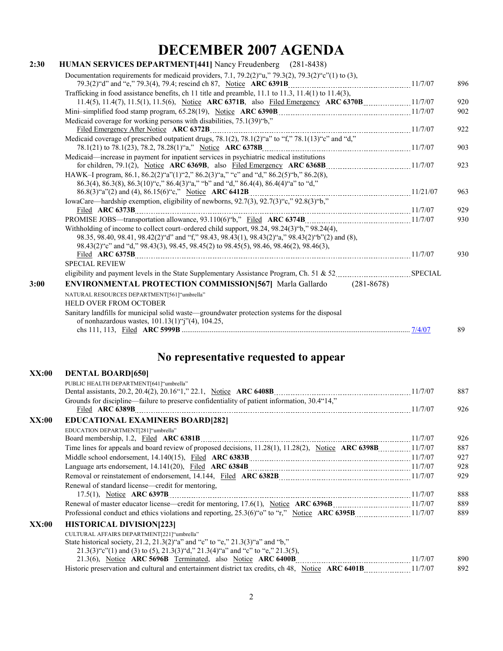# **DECEMBER 2007 AGENDA**

| 2:30 | <b>HUMAN SERVICES DEPARTMENT</b> [441] Nancy Freudenberg (281-8438)                                                                                                                           |         |     |
|------|-----------------------------------------------------------------------------------------------------------------------------------------------------------------------------------------------|---------|-----|
|      | Documentation requirements for medicaid providers, 7.1, 79.2(2)" $u$ ," 79.3(2), 79.3(2)" $c$ "(1) to (3),                                                                                    |         |     |
|      |                                                                                                                                                                                               |         | 896 |
|      | Trafficking in food assistance benefits, ch 11 title and preamble, 11.1 to 11.3, 11.4(1) to 11.4(3),                                                                                          |         |     |
|      |                                                                                                                                                                                               |         | 920 |
|      |                                                                                                                                                                                               |         | 902 |
|      | Medicaid coverage for working persons with disabilities, 75.1(39) "b,"                                                                                                                        |         |     |
|      |                                                                                                                                                                                               |         | 922 |
|      | Medicaid coverage of prescribed outpatient drugs, 78.1(2), 78.1(2)"a" to "f," 78.1(13)"c" and "d,"                                                                                            |         |     |
|      |                                                                                                                                                                                               |         | 903 |
|      | Medicaid—increase in payment for inpatient services in psychiatric medical institutions                                                                                                       |         |     |
|      |                                                                                                                                                                                               |         | 923 |
|      | HAWK-I program, 86.1, 86.2(2)"a"(1)"2," 86.2(3)"a," "c" and "d," 86.2(5)"b," 86.2(8),                                                                                                         |         |     |
|      | 86.3(4), 86.3(8), 86.3(10) "c," 86.4(3) "a," "b" and "d," 86.4(4), 86.4(4) "a" to "d,"                                                                                                        |         |     |
|      | $86.8(3)$ "a"(2) and (4), $86.15(6)$ "c," Notice ARC 6412B                                                                                                                                    |         | 963 |
|      | IowaCare—hardship exemption, eligibility of newborns, 92.7(3), 92.7(3)"c," 92.8(3)"b,"                                                                                                        |         | 929 |
|      | Filed ARC 6373B                                                                                                                                                                               |         |     |
|      |                                                                                                                                                                                               |         | 930 |
|      | Withholding of income to collect court-ordered child support, 98.24, 98.24(3) "b," 98.24(4),                                                                                                  |         |     |
|      | 98.35, 98.40, 98.41, 98.42(2) "d" and "f," 98.43, 98.43(1), 98.43(2) "a," 98.43(2) "b"(2) and (8),<br>98.43(2) "c" and "d," 98.43(3), 98.45, 98.45(2) to 98.45(5), 98.46, 98.46(2), 98.46(3), |         |     |
|      |                                                                                                                                                                                               | 11/7/07 | 930 |
|      | <b>SPECIAL REVIEW</b>                                                                                                                                                                         |         |     |
|      |                                                                                                                                                                                               |         |     |
| 3:00 | <b>ENVIRONMENTAL PROTECTION COMMISSION [567]</b> Marla Gallardo (281-8678)                                                                                                                    |         |     |
|      | NATURAL RESOURCES DEPARTMENT[561]"umbrella"                                                                                                                                                   |         |     |
|      | <b>HELD OVER FROM OCTOBER</b>                                                                                                                                                                 |         |     |
|      | Sanitary landfills for municipal solid waste-groundwater protection systems for the disposal<br>of nonhazardous wastes, $101.13(1)$ "j"(4), $104.25$ ,                                        |         |     |
|      |                                                                                                                                                                                               |         | 89  |
|      |                                                                                                                                                                                               |         |     |

### **No representative requested to appear**

| XX:00 | <b>DENTAL BOARD[650]</b>                                                                     |     |
|-------|----------------------------------------------------------------------------------------------|-----|
|       | PUBLIC HEALTH DEPARTMENT[641]"umbrella"                                                      |     |
|       |                                                                                              | 887 |
|       | Grounds for discipline—failure to preserve confidentiality of patient information, 30.4"14," |     |
|       |                                                                                              | 926 |
| XX:00 | <b>EDUCATIONAL EXAMINERS BOARD[282]</b>                                                      |     |
|       | EDUCATION DEPARTMENT[281]"umbrella"                                                          |     |
|       | Board membership, 1.2, Filed ARC 6381B.                                                      | 926 |
|       |                                                                                              | 887 |
|       |                                                                                              | 927 |
|       |                                                                                              | 928 |
|       |                                                                                              | 929 |
|       | Renewal of standard license—credit for mentoring,                                            |     |
|       | 17.5(1), Notice ARC 6397B                                                                    | 888 |
|       |                                                                                              | 889 |
|       |                                                                                              | 889 |
| XX:00 | <b>HISTORICAL DIVISION[223]</b>                                                              |     |
|       | CULTURAL AFFAIRS DEPARTMENT[221]"umbrella"                                                   |     |
|       | State historical society, 21.2, 21.3(2)"a" and "c" to "e," $21.3(3)$ "a" and "b,"            |     |
|       | $21.3(3)$ "c"(1) and (3) to (5), $21.3(3)$ "d," $21.3(4)$ "a" and "c" to "e," $21.3(5)$ ,    |     |
|       |                                                                                              | 890 |
|       |                                                                                              | 892 |
|       |                                                                                              |     |